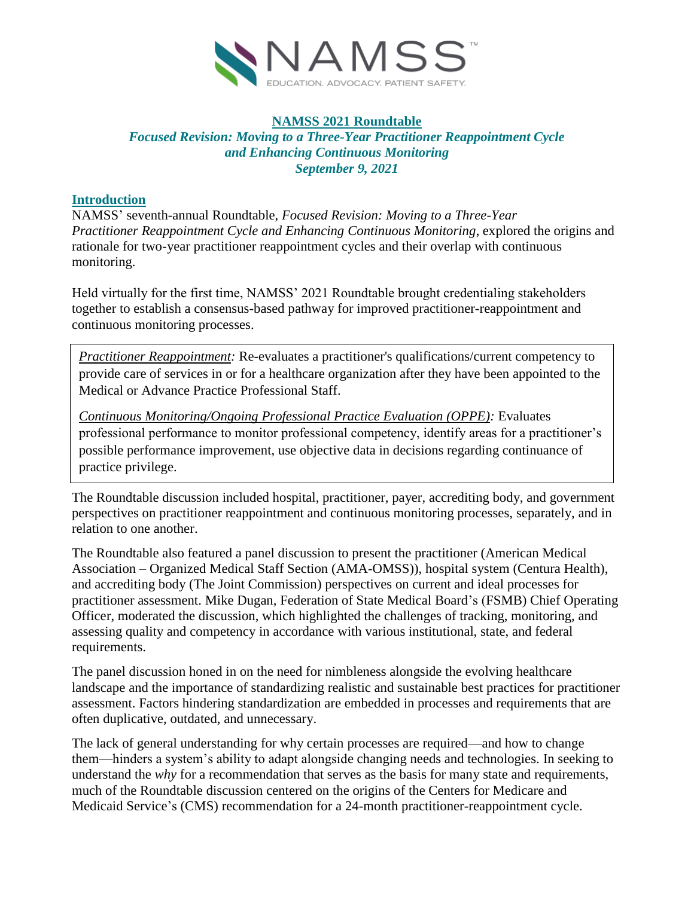

### **NAMSS 2021 Roundtable** *Focused Revision: Moving to a Three-Year Practitioner Reappointment Cycle and Enhancing Continuous Monitoring September 9, 2021*

# **Introduction**

NAMSS' seventh-annual Roundtable, *Focused Revision: Moving to a Three-Year Practitioner Reappointment Cycle and Enhancing Continuous Monitoring*, explored the origins and rationale for two-year practitioner reappointment cycles and their overlap with continuous monitoring.

Held virtually for the first time, NAMSS' 2021 Roundtable brought credentialing stakeholders together to establish a consensus-based pathway for improved practitioner-reappointment and continuous monitoring processes.

*Practitioner Reappointment:* Re-evaluates a practitioner's qualifications/current competency to provide care of services in or for a healthcare organization after they have been appointed to the Medical or Advance Practice Professional Staff.

*Continuous Monitoring/Ongoing Professional Practice Evaluation (OPPE):* Evaluates professional performance to monitor professional competency, identify areas for a practitioner's possible performance improvement, use objective data in decisions regarding continuance of practice privilege.

The Roundtable discussion included hospital, practitioner, payer, accrediting body, and government perspectives on practitioner reappointment and continuous monitoring processes, separately, and in relation to one another.

The Roundtable also featured a panel discussion to present the practitioner (American Medical Association – Organized Medical Staff Section (AMA-OMSS)), hospital system (Centura Health), and accrediting body (The Joint Commission) perspectives on current and ideal processes for practitioner assessment. Mike Dugan, Federation of State Medical Board's (FSMB) Chief Operating Officer, moderated the discussion, which highlighted the challenges of tracking, monitoring, and assessing quality and competency in accordance with various institutional, state, and federal requirements.

The panel discussion honed in on the need for nimbleness alongside the evolving healthcare landscape and the importance of standardizing realistic and sustainable best practices for practitioner assessment. Factors hindering standardization are embedded in processes and requirements that are often duplicative, outdated, and unnecessary.

The lack of general understanding for why certain processes are required—and how to change them—hinders a system's ability to adapt alongside changing needs and technologies. In seeking to understand the *why* for a recommendation that serves as the basis for many state and requirements, much of the Roundtable discussion centered on the origins of the Centers for Medicare and Medicaid Service's (CMS) recommendation for a 24-month practitioner-reappointment cycle.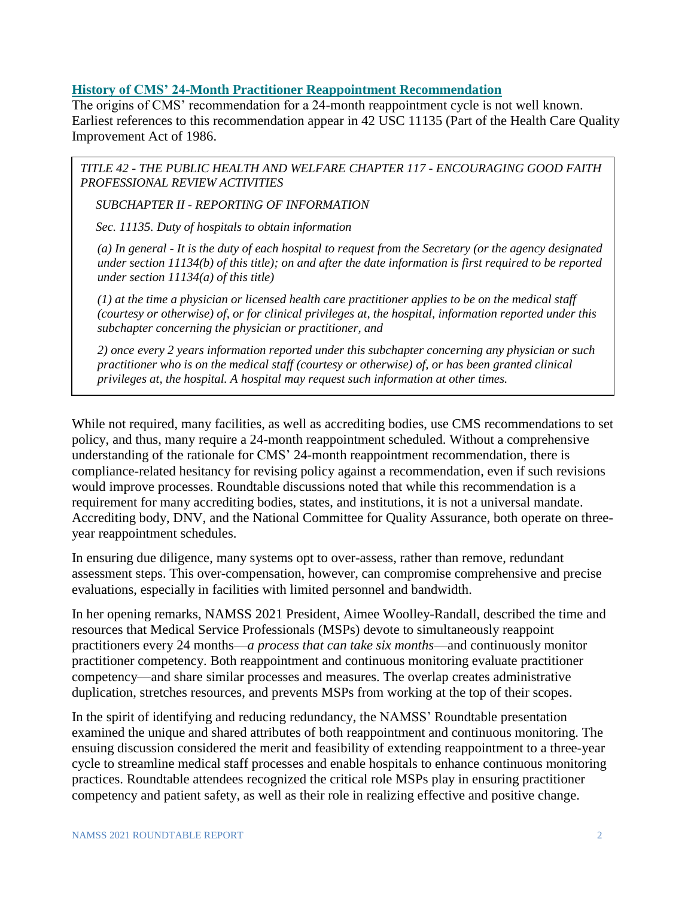#### **History of CMS' 24-Month Practitioner Reappointment Recommendation**

The origins of CMS' recommendation for a 24-month reappointment cycle is not well known. Earliest references to this recommendation appear in 42 USC 11135 (Part of the Health Care Quality Improvement Act of 1986.

*TITLE 42 - THE PUBLIC HEALTH AND WELFARE CHAPTER 117 - ENCOURAGING GOOD FAITH PROFESSIONAL REVIEW ACTIVITIES*

*SUBCHAPTER II - REPORTING OF INFORMATION*

*Sec. 11135. Duty of hospitals to obtain information*

*(a) In general - It is the duty of each hospital to request from the Secretary (or the agency designated under section 11134(b) of this title); on and after the date information is first required to be reported under section 11134(a) of this title)* 

*(1) at the time a physician or licensed health care practitioner applies to be on the medical staff (courtesy or otherwise) of, or for clinical privileges at, the hospital, information reported under this subchapter concerning the physician or practitioner, and*

*2) once every 2 years information reported under this subchapter concerning any physician or such practitioner who is on the medical staff (courtesy or otherwise) of, or has been granted clinical privileges at, the hospital. A hospital may request such information at other times.*

While not required, many facilities, as well as accrediting bodies, use CMS recommendations to set policy, and thus, many require a 24-month reappointment scheduled. Without a comprehensive understanding of the rationale for CMS' 24-month reappointment recommendation, there is compliance-related hesitancy for revising policy against a recommendation, even if such revisions would improve processes. Roundtable discussions noted that while this recommendation is a requirement for many accrediting bodies, states, and institutions, it is not a universal mandate. Accrediting body, DNV, and the National Committee for Quality Assurance, both operate on threeyear reappointment schedules.

In ensuring due diligence, many systems opt to over-assess, rather than remove, redundant assessment steps. This over-compensation, however, can compromise comprehensive and precise evaluations, especially in facilities with limited personnel and bandwidth.

In her opening remarks, NAMSS 2021 President, Aimee Woolley-Randall, described the time and resources that Medical Service Professionals (MSPs) devote to simultaneously reappoint practitioners every 24 months—*a process that can take six months*—and continuously monitor practitioner competency. Both reappointment and continuous monitoring evaluate practitioner competency—and share similar processes and measures. The overlap creates administrative duplication, stretches resources, and prevents MSPs from working at the top of their scopes.

In the spirit of identifying and reducing redundancy, the NAMSS' Roundtable presentation examined the unique and shared attributes of both reappointment and continuous monitoring. The ensuing discussion considered the merit and feasibility of extending reappointment to a three-year cycle to streamline medical staff processes and enable hospitals to enhance continuous monitoring practices. Roundtable attendees recognized the critical role MSPs play in ensuring practitioner competency and patient safety, as well as their role in realizing effective and positive change.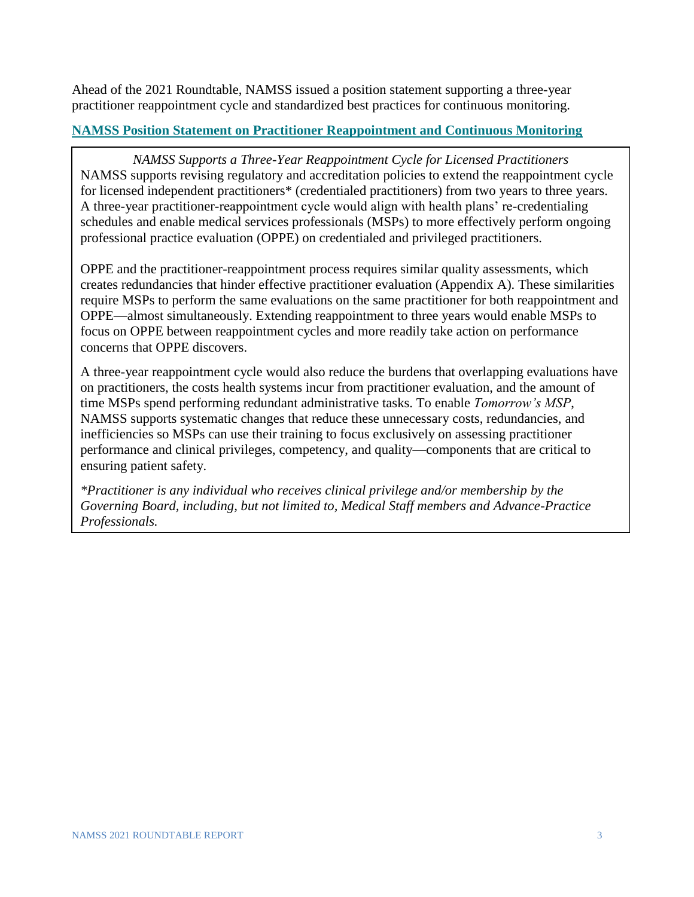Ahead of the 2021 Roundtable, NAMSS issued a position statement supporting a three-year practitioner reappointment cycle and standardized best practices for continuous monitoring.

### **NAMSS Position Statement on Practitioner Reappointment and Continuous Monitoring**

*NAMSS Supports a Three-Year Reappointment Cycle for Licensed Practitioners* NAMSS supports revising regulatory and accreditation policies to extend the reappointment cycle for licensed independent practitioners\* (credentialed practitioners) from two years to three years. A three-year practitioner-reappointment cycle would align with health plans' re-credentialing schedules and enable medical services professionals (MSPs) to more effectively perform ongoing professional practice evaluation (OPPE) on credentialed and privileged practitioners.

OPPE and the practitioner-reappointment process requires similar quality assessments, which creates redundancies that hinder effective practitioner evaluation (Appendix A). These similarities require MSPs to perform the same evaluations on the same practitioner for both reappointment and OPPE—almost simultaneously. Extending reappointment to three years would enable MSPs to focus on OPPE between reappointment cycles and more readily take action on performance concerns that OPPE discovers.

A three-year reappointment cycle would also reduce the burdens that overlapping evaluations have on practitioners, the costs health systems incur from practitioner evaluation, and the amount of time MSPs spend performing redundant administrative tasks. To enable *Tomorrow's MSP*, NAMSS supports systematic changes that reduce these unnecessary costs, redundancies, and inefficiencies so MSPs can use their training to focus exclusively on assessing practitioner performance and clinical privileges, competency, and quality—components that are critical to ensuring patient safety.

*\*Practitioner is any individual who receives clinical privilege and/or membership by the Governing Board, including, but not limited to, Medical Staff members and Advance-Practice Professionals.*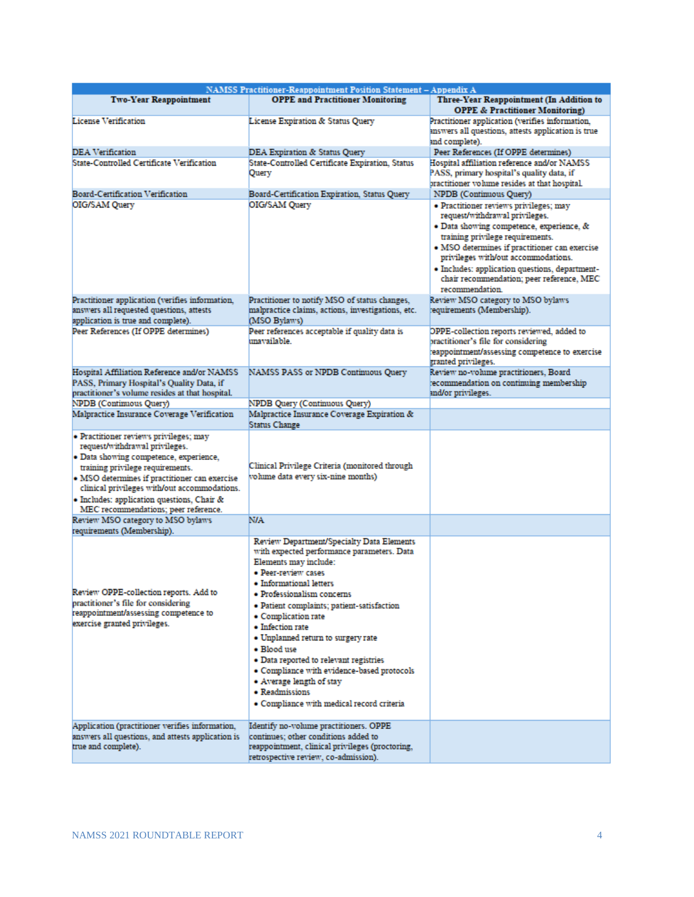| NAMSS Practitioner-Reappointment Position Statement - Appendix A                                                                                                                                                                                                                                                                              |                                                                                                                                                                                                                                                                                                                                                                                                                                                                                                                                   |                                                                                                                                                                                                                                                                                                                                                                    |
|-----------------------------------------------------------------------------------------------------------------------------------------------------------------------------------------------------------------------------------------------------------------------------------------------------------------------------------------------|-----------------------------------------------------------------------------------------------------------------------------------------------------------------------------------------------------------------------------------------------------------------------------------------------------------------------------------------------------------------------------------------------------------------------------------------------------------------------------------------------------------------------------------|--------------------------------------------------------------------------------------------------------------------------------------------------------------------------------------------------------------------------------------------------------------------------------------------------------------------------------------------------------------------|
| <b>Two-Year Reappointment</b>                                                                                                                                                                                                                                                                                                                 | <b>OPPE and Practitioner Monitoring</b>                                                                                                                                                                                                                                                                                                                                                                                                                                                                                           | Three-Year Reappointment (In Addition to<br><b>OPPE &amp; Practitioner Monitoring)</b>                                                                                                                                                                                                                                                                             |
| <b>License Verification</b>                                                                                                                                                                                                                                                                                                                   | License Expiration & Status Query                                                                                                                                                                                                                                                                                                                                                                                                                                                                                                 | Practitioner application (verifies information,<br>answers all questions, attests application is true<br>and complete).                                                                                                                                                                                                                                            |
| <b>DEA</b> Verification                                                                                                                                                                                                                                                                                                                       | DEA Expiration & Status Query                                                                                                                                                                                                                                                                                                                                                                                                                                                                                                     | Peer References (If OPPE determines)                                                                                                                                                                                                                                                                                                                               |
| State-Controlled Certificate Verification                                                                                                                                                                                                                                                                                                     | State-Controlled Certificate Expiration, Status<br>Query                                                                                                                                                                                                                                                                                                                                                                                                                                                                          | Hospital affiliation reference and/or NAMSS<br>PASS, primary hospital's quality data, if<br>practitioner volume resides at that hospital.                                                                                                                                                                                                                          |
| Board-Certification Verification                                                                                                                                                                                                                                                                                                              | Board-Certification Expiration, Status Query                                                                                                                                                                                                                                                                                                                                                                                                                                                                                      | NPDB (Continuous Query)                                                                                                                                                                                                                                                                                                                                            |
| OIG/SAM Ouerv                                                                                                                                                                                                                                                                                                                                 | OIG/SAM Ouerv                                                                                                                                                                                                                                                                                                                                                                                                                                                                                                                     | · Practitioner reviews privileges; may<br>request/withdrawal privileges.<br>· Data showing competence, experience, &<br>training privilege requirements.<br>• MSO determines if practitioner can exercise<br>privileges with/out accommodations.<br>· Includes: application questions, department-<br>chair recommendation; peer reference, MEC<br>recommendation. |
| Practitioner application (verifies information,<br>answers all requested questions, attests<br>application is true and complete).                                                                                                                                                                                                             | Practitioner to notify MSO of status changes,<br>malpractice claims, actions, investigations, etc.<br>(MSO Bylaws)                                                                                                                                                                                                                                                                                                                                                                                                                | Review MSO category to MSO bylaws<br>equirements (Membership).                                                                                                                                                                                                                                                                                                     |
| Peer References (If OPPE determines)                                                                                                                                                                                                                                                                                                          | Peer references acceptable if quality data is<br>unavailable.                                                                                                                                                                                                                                                                                                                                                                                                                                                                     | OPPE-collection reports reviewed, added to<br>practitioner's file for considering<br>eappointment/assessing competence to exercise<br>granted privileges.                                                                                                                                                                                                          |
| Hospital Affiliation Reference and/or NAMSS<br>PASS, Primary Hospital's Quality Data, if<br>practitioner's volume resides at that hospital.                                                                                                                                                                                                   | NAMSS PASS or NPDB Continuous Query                                                                                                                                                                                                                                                                                                                                                                                                                                                                                               | Review no-volume practitioners, Board<br>ecommendation on continuing membership<br>and/or privileges.                                                                                                                                                                                                                                                              |
| NPDB (Continuous Query)                                                                                                                                                                                                                                                                                                                       | NPDB Query (Continuous Query)                                                                                                                                                                                                                                                                                                                                                                                                                                                                                                     |                                                                                                                                                                                                                                                                                                                                                                    |
| Malpractice Insurance Coverage Verification                                                                                                                                                                                                                                                                                                   | Malpractice Insurance Coverage Expiration &<br><b>Status Change</b>                                                                                                                                                                                                                                                                                                                                                                                                                                                               |                                                                                                                                                                                                                                                                                                                                                                    |
| • Practitioner reviews privileges; may<br>request/withdrawal privileges.<br>· Data showing competence, experience,<br>training privilege requirements.<br>• MSO determines if practitioner can exercise<br>clinical privileges with/out accommodations.<br>· Includes: application questions, Chair &<br>MEC recommendations; peer reference. | Clinical Privilege Criteria (monitored through<br>volume data every six-nine months)                                                                                                                                                                                                                                                                                                                                                                                                                                              |                                                                                                                                                                                                                                                                                                                                                                    |
| Review MSO category to MSO bylaws<br>requirements (Membership).                                                                                                                                                                                                                                                                               | NΙA                                                                                                                                                                                                                                                                                                                                                                                                                                                                                                                               |                                                                                                                                                                                                                                                                                                                                                                    |
| Review OPPE-collection reports. Add to<br>practitioner's file for considering<br>reappointment/assessing competence to<br>exercise granted privileges.                                                                                                                                                                                        | Review Department/Specialty Data Elements<br>with expected performance parameters. Data<br>Elements may include:<br>· Peer-review cases<br>· Informational letters<br>• Professionalism concerns<br>· Patient complaints; patient-satisfaction<br>• Complication rate<br>• Infection rate<br>• Unplanned return to surgery rate<br>• Blood use<br>· Data reported to relevant registries<br>• Compliance with evidence-based protocols<br>• Average length of stay<br>· Readmissions<br>• Compliance with medical record criteria |                                                                                                                                                                                                                                                                                                                                                                    |
| Application (practitioner verifies information,<br>answers all questions, and attests application is<br>true and complete).                                                                                                                                                                                                                   | Identify no-volume practitioners. OPPE<br>continues; other conditions added to<br>reappointment, clinical privileges (proctoring,<br>retrospective review, co-admission).                                                                                                                                                                                                                                                                                                                                                         |                                                                                                                                                                                                                                                                                                                                                                    |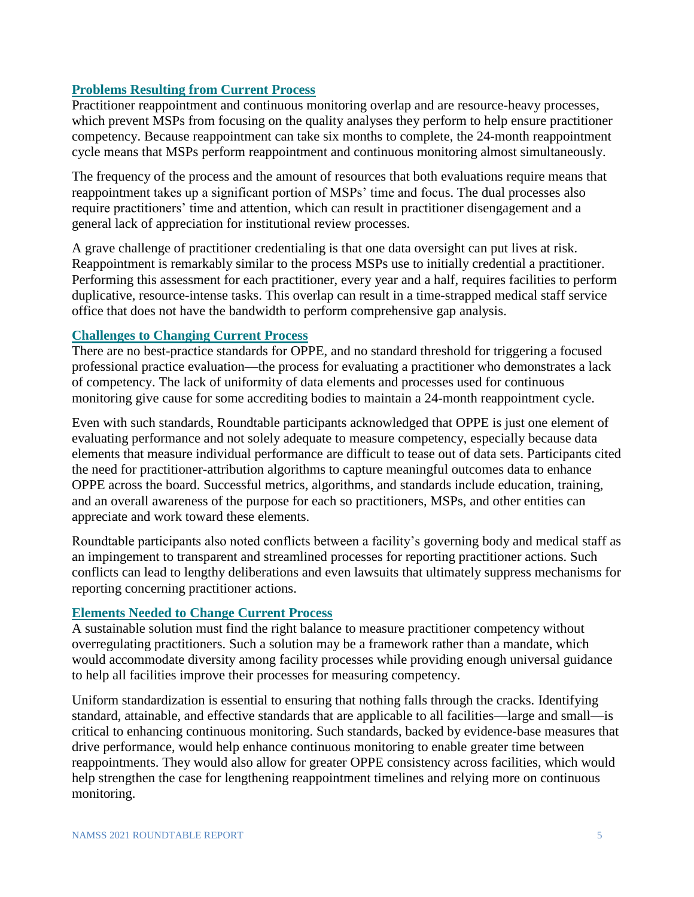#### **Problems Resulting from Current Process**

Practitioner reappointment and continuous monitoring overlap and are resource-heavy processes, which prevent MSPs from focusing on the quality analyses they perform to help ensure practitioner competency. Because reappointment can take six months to complete, the 24-month reappointment cycle means that MSPs perform reappointment and continuous monitoring almost simultaneously.

The frequency of the process and the amount of resources that both evaluations require means that reappointment takes up a significant portion of MSPs' time and focus. The dual processes also require practitioners' time and attention, which can result in practitioner disengagement and a general lack of appreciation for institutional review processes.

A grave challenge of practitioner credentialing is that one data oversight can put lives at risk. Reappointment is remarkably similar to the process MSPs use to initially credential a practitioner. Performing this assessment for each practitioner, every year and a half, requires facilities to perform duplicative, resource-intense tasks. This overlap can result in a time-strapped medical staff service office that does not have the bandwidth to perform comprehensive gap analysis.

#### **Challenges to Changing Current Process**

There are no best-practice standards for OPPE, and no standard threshold for triggering a focused professional practice evaluation—the process for evaluating a practitioner who demonstrates a lack of competency. The lack of uniformity of data elements and processes used for continuous monitoring give cause for some accrediting bodies to maintain a 24-month reappointment cycle.

Even with such standards, Roundtable participants acknowledged that OPPE is just one element of evaluating performance and not solely adequate to measure competency, especially because data elements that measure individual performance are difficult to tease out of data sets. Participants cited the need for practitioner-attribution algorithms to capture meaningful outcomes data to enhance OPPE across the board. Successful metrics, algorithms, and standards include education, training, and an overall awareness of the purpose for each so practitioners, MSPs, and other entities can appreciate and work toward these elements.

Roundtable participants also noted conflicts between a facility's governing body and medical staff as an impingement to transparent and streamlined processes for reporting practitioner actions. Such conflicts can lead to lengthy deliberations and even lawsuits that ultimately suppress mechanisms for reporting concerning practitioner actions.

## **Elements Needed to Change Current Process**

A sustainable solution must find the right balance to measure practitioner competency without overregulating practitioners. Such a solution may be a framework rather than a mandate, which would accommodate diversity among facility processes while providing enough universal guidance to help all facilities improve their processes for measuring competency.

Uniform standardization is essential to ensuring that nothing falls through the cracks. Identifying standard, attainable, and effective standards that are applicable to all facilities—large and small—is critical to enhancing continuous monitoring. Such standards, backed by evidence-base measures that drive performance, would help enhance continuous monitoring to enable greater time between reappointments. They would also allow for greater OPPE consistency across facilities, which would help strengthen the case for lengthening reappointment timelines and relying more on continuous monitoring.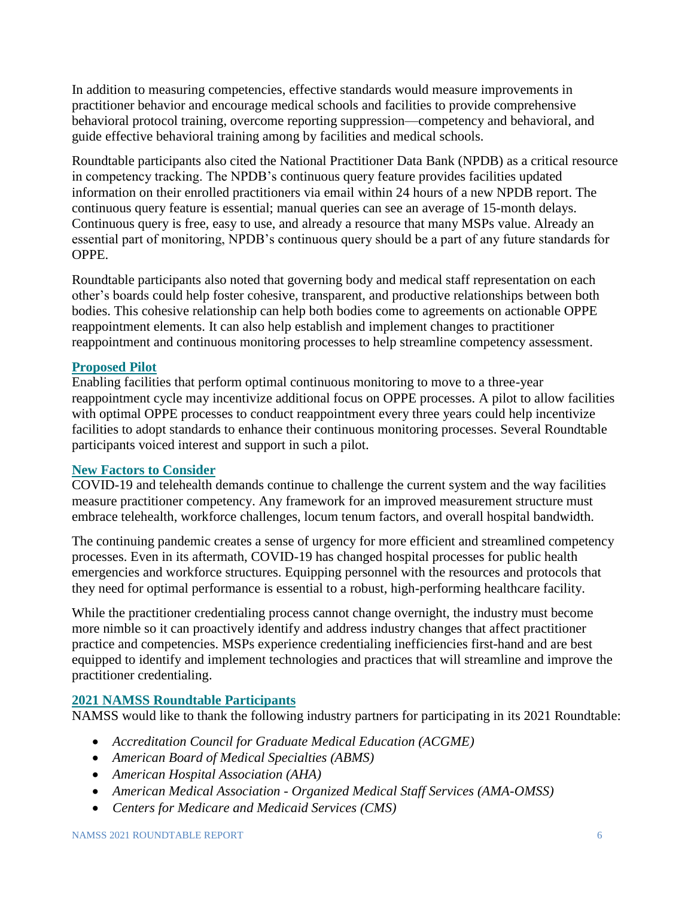In addition to measuring competencies, effective standards would measure improvements in practitioner behavior and encourage medical schools and facilities to provide comprehensive behavioral protocol training, overcome reporting suppression—competency and behavioral, and guide effective behavioral training among by facilities and medical schools.

Roundtable participants also cited the National Practitioner Data Bank (NPDB) as a critical resource in competency tracking. The NPDB's continuous query feature provides facilities updated information on their enrolled practitioners via email within 24 hours of a new NPDB report. The continuous query feature is essential; manual queries can see an average of 15-month delays. Continuous query is free, easy to use, and already a resource that many MSPs value. Already an essential part of monitoring, NPDB's continuous query should be a part of any future standards for OPPE.

Roundtable participants also noted that governing body and medical staff representation on each other's boards could help foster cohesive, transparent, and productive relationships between both bodies. This cohesive relationship can help both bodies come to agreements on actionable OPPE reappointment elements. It can also help establish and implement changes to practitioner reappointment and continuous monitoring processes to help streamline competency assessment.

#### **Proposed Pilot**

Enabling facilities that perform optimal continuous monitoring to move to a three-year reappointment cycle may incentivize additional focus on OPPE processes. A pilot to allow facilities with optimal OPPE processes to conduct reappointment every three years could help incentivize facilities to adopt standards to enhance their continuous monitoring processes. Several Roundtable participants voiced interest and support in such a pilot.

#### **New Factors to Consider**

COVID-19 and telehealth demands continue to challenge the current system and the way facilities measure practitioner competency. Any framework for an improved measurement structure must embrace telehealth, workforce challenges, locum tenum factors, and overall hospital bandwidth.

The continuing pandemic creates a sense of urgency for more efficient and streamlined competency processes. Even in its aftermath, COVID-19 has changed hospital processes for public health emergencies and workforce structures. Equipping personnel with the resources and protocols that they need for optimal performance is essential to a robust, high-performing healthcare facility.

While the practitioner credentialing process cannot change overnight, the industry must become more nimble so it can proactively identify and address industry changes that affect practitioner practice and competencies. MSPs experience credentialing inefficiencies first-hand and are best equipped to identify and implement technologies and practices that will streamline and improve the practitioner credentialing.

## **2021 NAMSS Roundtable Participants**

NAMSS would like to thank the following industry partners for participating in its 2021 Roundtable:

- *Accreditation Council for Graduate Medical Education (ACGME)*
- *American Board of Medical Specialties (ABMS)*
- *American Hospital Association (AHA)*
- *American Medical Association - Organized Medical Staff Services (AMA-OMSS)*
- *Centers for Medicare and Medicaid Services (CMS)*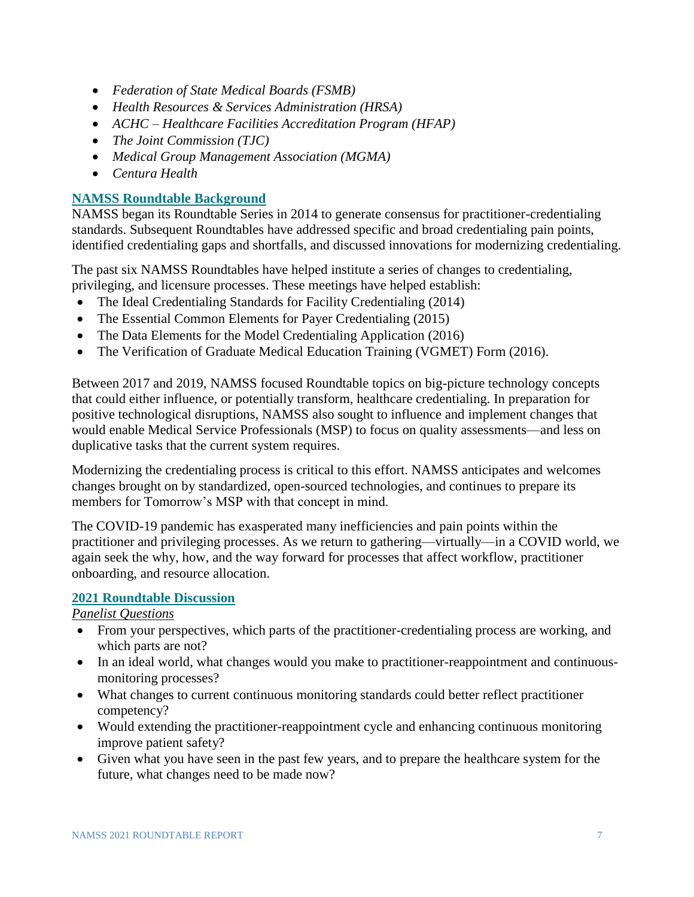- *Federation of State Medical Boards (FSMB)*
- *Health Resources & Services Administration (HRSA)*
- *ACHC – Healthcare Facilities Accreditation Program (HFAP)*
- *The Joint Commission (TJC)*
- *Medical Group Management Association (MGMA)*
- *Centura Health*

# **NAMSS Roundtable Background**

NAMSS began its Roundtable Series in 2014 to generate consensus for practitioner-credentialing standards. Subsequent Roundtables have addressed specific and broad credentialing pain points, identified credentialing gaps and shortfalls, and discussed innovations for modernizing credentialing.

The past six NAMSS Roundtables have helped institute a series of changes to credentialing, privileging, and licensure processes. These meetings have helped establish:

- The Ideal Credentialing Standards for Facility Credentialing (2014)
- The Essential Common Elements for Payer Credentialing (2015)
- The Data Elements for the Model Credentialing Application (2016)
- The Verification of Graduate Medical Education Training (VGMET) Form (2016).

Between 2017 and 2019, NAMSS focused Roundtable topics on big-picture technology concepts that could either influence, or potentially transform, healthcare credentialing. In preparation for positive technological disruptions, NAMSS also sought to influence and implement changes that would enable Medical Service Professionals (MSP) to focus on quality assessments—and less on duplicative tasks that the current system requires.

Modernizing the credentialing process is critical to this effort. NAMSS anticipates and welcomes changes brought on by standardized, open-sourced technologies, and continues to prepare its members for Tomorrow's MSP with that concept in mind.

The COVID-19 pandemic has exasperated many inefficiencies and pain points within the practitioner and privileging processes. As we return to gathering—virtually—in a COVID world, we again seek the why, how, and the way forward for processes that affect workflow, practitioner onboarding, and resource allocation.

## **2021 Roundtable Discussion**

*Panelist Questions*

- From your perspectives, which parts of the practitioner-credentialing process are working, and which parts are not?
- In an ideal world, what changes would you make to practitioner-reappointment and continuousmonitoring processes?
- What changes to current continuous monitoring standards could better reflect practitioner competency?
- Would extending the practitioner-reappointment cycle and enhancing continuous monitoring improve patient safety?
- Given what you have seen in the past few years, and to prepare the healthcare system for the future, what changes need to be made now?